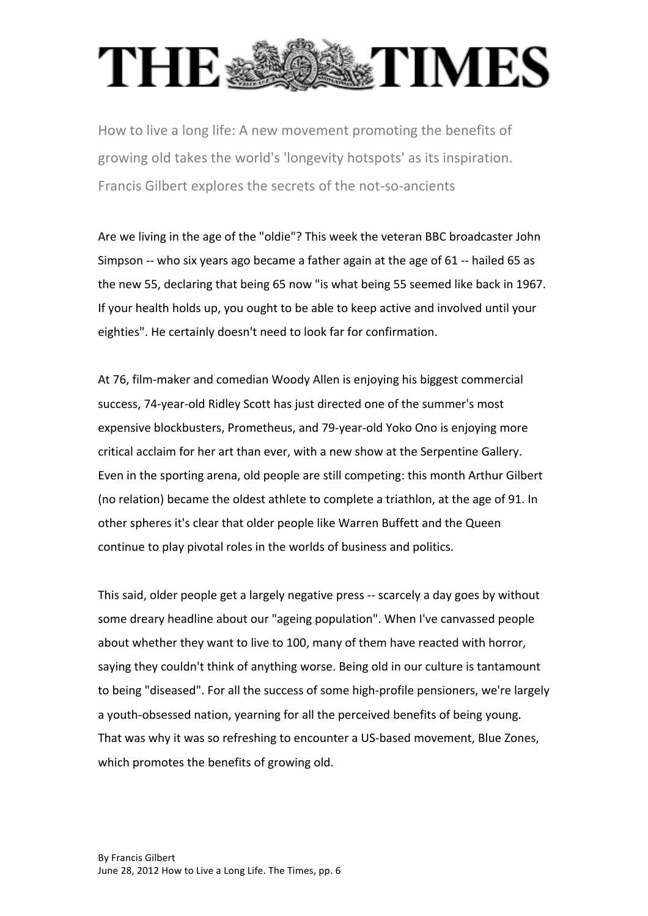## **DESITIMES THE®**

How to live a long life: A new movement promoting the benefits of growing old takes the world's 'longevity hotspots' as its inspiration. Francis Gilbert explores the secrets of the not-so-ancients

Are we living in the age of the "oldie"? This week the veteran BBC broadcaster John Simpson  $-$  who six years ago became a father again at the age of 61 $-$  hailed 65 as the new 55, declaring that being 65 now "is what being 55 seemed like back in 1967. If your health holds up, you ought to be able to keep active and involved until your eighties". He certainly doesn't need to look far for confirmation.

At 76, film-maker and comedian Woody Allen is enjoying his biggest commercial success, 74-year-old Ridley Scott has just directed one of the summer's most expensive blockbusters, Prometheus, and 79-year-old Yoko Ono is enjoying more critical acclaim for her art than ever, with a new show at the Serpentine Gallery. Even in the sporting arena, old people are still competing: this month Arthur Gilbert (no relation) became the oldest athlete to complete a triathlon, at the age of 91. In other spheres it's clear that older people like Warren Buffett and the Queen continue to play pivotal roles in the worlds of business and politics.

This said, older people get a largely negative press -- scarcely a day goes by without some dreary headline about our "ageing population". When I've canvassed people about whether they want to live to 100, many of them have reacted with horror, saying they couldn't think of anything worse. Being old in our culture is tantamount to being "diseased". For all the success of some high-profile pensioners, we're largely a youth-obsessed nation, yearning for all the perceived benefits of being young. That was why it was so refreshing to encounter a US-based movement, Blue Zones, which promotes the benefits of growing old.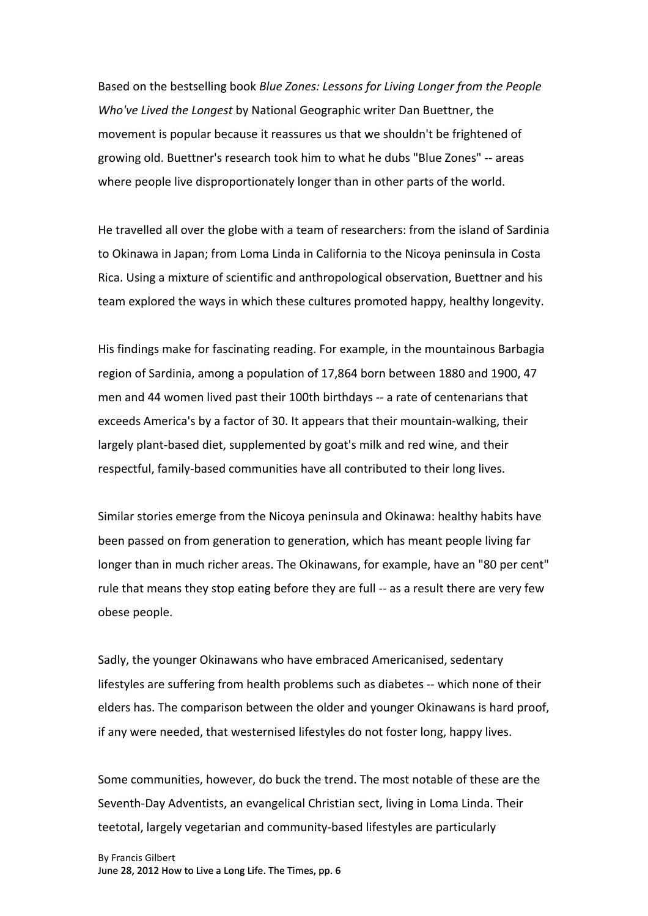Based on the bestselling book *Blue Zones: Lessons for Living Longer from the People Who've Lived the Longest by National Geographic writer Dan Buettner, the* movement is popular because it reassures us that we shouldn't be frightened of growing old. Buettner's research took him to what he dubs "Blue Zones" -- areas where people live disproportionately longer than in other parts of the world.

He travelled all over the globe with a team of researchers: from the island of Sardinia to Okinawa in Japan; from Loma Linda in California to the Nicoya peninsula in Costa Rica. Using a mixture of scientific and anthropological observation, Buettner and his team explored the ways in which these cultures promoted happy, healthy longevity.

His findings make for fascinating reading. For example, in the mountainous Barbagia region of Sardinia, among a population of 17,864 born between 1880 and 1900, 47 men and 44 women lived past their 100th birthdays -- a rate of centenarians that exceeds America's by a factor of 30. It appears that their mountain-walking, their largely plant-based diet, supplemented by goat's milk and red wine, and their respectful, family-based communities have all contributed to their long lives.

Similar stories emerge from the Nicoya peninsula and Okinawa: healthy habits have been passed on from generation to generation, which has meant people living far longer than in much richer areas. The Okinawans, for example, have an "80 per cent" rule that means they stop eating before they are full -- as a result there are very few obese people.

Sadly, the younger Okinawans who have embraced Americanised, sedentary lifestyles are suffering from health problems such as diabetes -- which none of their elders has. The comparison between the older and younger Okinawans is hard proof, if any were needed, that westernised lifestyles do not foster long, happy lives.

Some communities, however, do buck the trend. The most notable of these are the Seventh-Day Adventists, an evangelical Christian sect, living in Loma Linda. Their teetotal, largely vegetarian and community-based lifestyles are particularly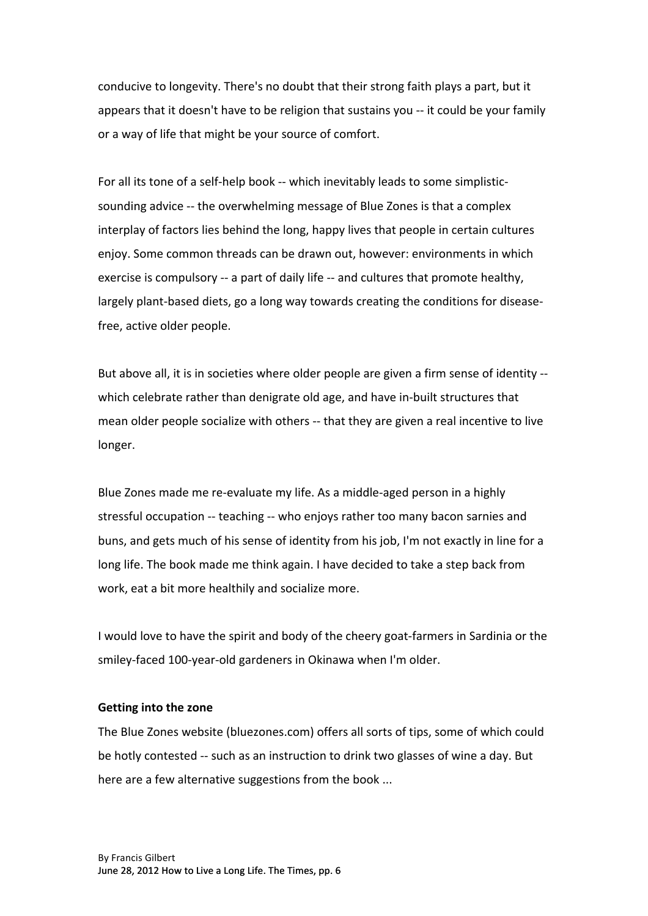conducive to longevity. There's no doubt that their strong faith plays a part, but it appears that it doesn't have to be religion that sustains you -- it could be your family or a way of life that might be your source of comfort.

For all its tone of a self-help book -- which inevitably leads to some simplisticsounding advice -- the overwhelming message of Blue Zones is that a complex interplay of factors lies behind the long, happy lives that people in certain cultures enjoy. Some common threads can be drawn out, however: environments in which exercise is compulsory -- a part of daily life -- and cultures that promote healthy, largely plant-based diets, go a long way towards creating the conditions for diseasefree, active older people.

But above all, it is in societies where older people are given a firm sense of identity -which celebrate rather than denigrate old age, and have in-built structures that mean older people socialize with others -- that they are given a real incentive to live longer.

Blue Zones made me re-evaluate my life. As a middle-aged person in a highly stressful occupation -- teaching -- who enjoys rather too many bacon sarnies and buns, and gets much of his sense of identity from his job, I'm not exactly in line for a long life. The book made me think again. I have decided to take a step back from work, eat a bit more healthily and socialize more.

I would love to have the spirit and body of the cheery goat-farmers in Sardinia or the smiley-faced 100-year-old gardeners in Okinawa when I'm older.

## **Getting into the zone**

The Blue Zones website (bluezones.com) offers all sorts of tips, some of which could be hotly contested -- such as an instruction to drink two glasses of wine a day. But here are a few alternative suggestions from the book ...